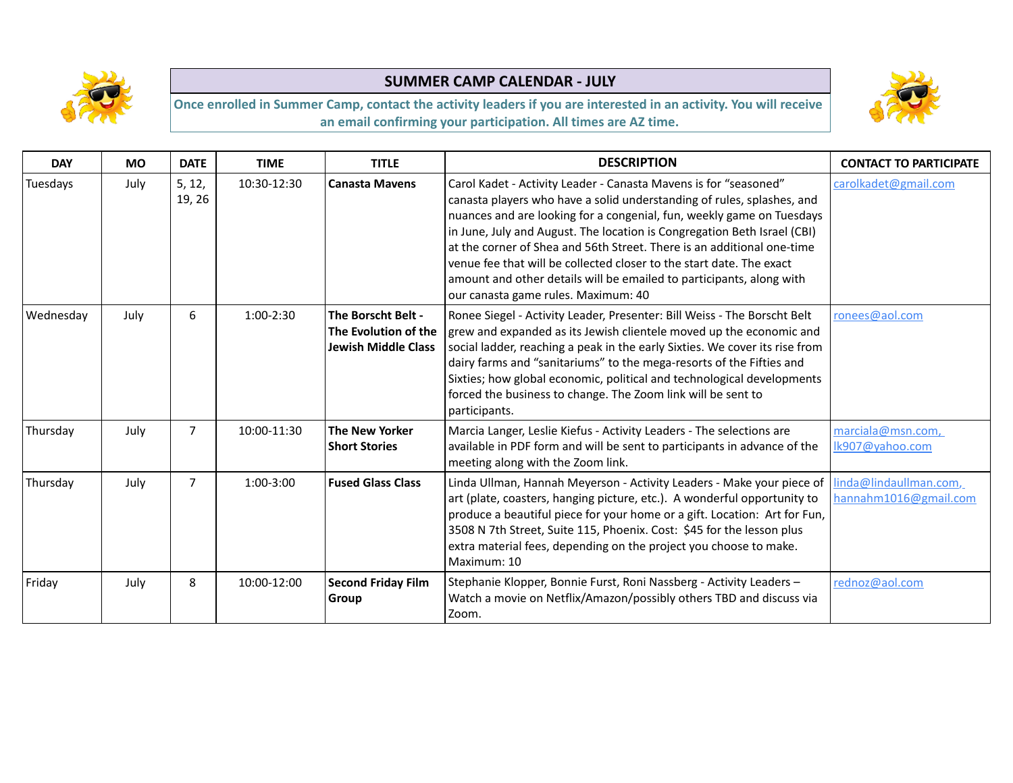



| <b>DAY</b> | <b>MO</b> | <b>DATE</b>      | <b>TIME</b> | <b>TITLE</b>                                                             | <b>DESCRIPTION</b>                                                                                                                                                                                                                                                                                                                                                                                                                                                                                                                                               | <b>CONTACT TO PARTICIPATE</b>                   |
|------------|-----------|------------------|-------------|--------------------------------------------------------------------------|------------------------------------------------------------------------------------------------------------------------------------------------------------------------------------------------------------------------------------------------------------------------------------------------------------------------------------------------------------------------------------------------------------------------------------------------------------------------------------------------------------------------------------------------------------------|-------------------------------------------------|
| Tuesdays   | July      | 5, 12,<br>19, 26 | 10:30-12:30 | <b>Canasta Mavens</b>                                                    | Carol Kadet - Activity Leader - Canasta Mavens is for "seasoned"<br>canasta players who have a solid understanding of rules, splashes, and<br>nuances and are looking for a congenial, fun, weekly game on Tuesdays<br>in June, July and August. The location is Congregation Beth Israel (CBI)<br>at the corner of Shea and 56th Street. There is an additional one-time<br>venue fee that will be collected closer to the start date. The exact<br>amount and other details will be emailed to participants, along with<br>our canasta game rules. Maximum: 40 | carolkadet@gmail.com                            |
| Wednesday  | July      | 6                | $1:00-2:30$ | The Borscht Belt -<br>The Evolution of the<br><b>Jewish Middle Class</b> | Ronee Siegel - Activity Leader, Presenter: Bill Weiss - The Borscht Belt<br>grew and expanded as its Jewish clientele moved up the economic and<br>social ladder, reaching a peak in the early Sixties. We cover its rise from<br>dairy farms and "sanitariums" to the mega-resorts of the Fifties and<br>Sixties; how global economic, political and technological developments<br>forced the business to change. The Zoom link will be sent to<br>participants.                                                                                                | ronees@aol.com                                  |
| Thursday   | July      | $\overline{7}$   | 10:00-11:30 | <b>The New Yorker</b><br><b>Short Stories</b>                            | Marcia Langer, Leslie Kiefus - Activity Leaders - The selections are<br>available in PDF form and will be sent to participants in advance of the<br>meeting along with the Zoom link.                                                                                                                                                                                                                                                                                                                                                                            | marciala@msn.com,<br>Ik907@yahoo.com            |
| Thursday   | July      | 7                | $1:00-3:00$ | <b>Fused Glass Class</b>                                                 | Linda Ullman, Hannah Meyerson - Activity Leaders - Make your piece of<br>art (plate, coasters, hanging picture, etc.). A wonderful opportunity to<br>produce a beautiful piece for your home or a gift. Location: Art for Fun,<br>3508 N 7th Street, Suite 115, Phoenix. Cost: \$45 for the lesson plus<br>extra material fees, depending on the project you choose to make.<br>Maximum: 10                                                                                                                                                                      | linda@lindaullman.com,<br>hannahm1016@gmail.com |
| Friday     | July      | 8                | 10:00-12:00 | <b>Second Friday Film</b><br>Group                                       | Stephanie Klopper, Bonnie Furst, Roni Nassberg - Activity Leaders -<br>Watch a movie on Netflix/Amazon/possibly others TBD and discuss via<br>Zoom.                                                                                                                                                                                                                                                                                                                                                                                                              | rednoz@aol.com                                  |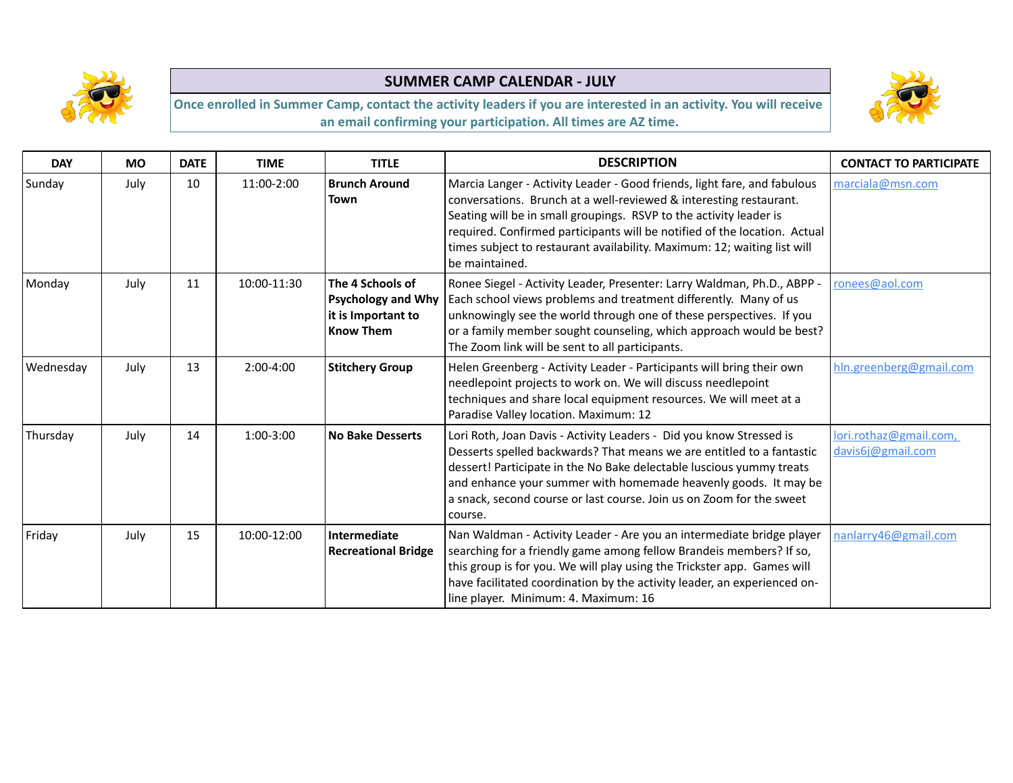



| <b>DAY</b> | <b>MO</b> | <b>DATE</b> | <b>TIME</b> | <b>TITLE</b>                                                                            | <b>DESCRIPTION</b>                                                                                                                                                                                                                                                                                                                                                                              | <b>CONTACT TO PARTICIPATE</b>               |
|------------|-----------|-------------|-------------|-----------------------------------------------------------------------------------------|-------------------------------------------------------------------------------------------------------------------------------------------------------------------------------------------------------------------------------------------------------------------------------------------------------------------------------------------------------------------------------------------------|---------------------------------------------|
| Sunday     | July      | 10          | 11:00-2:00  | <b>Brunch Around</b><br>Town                                                            | Marcia Langer - Activity Leader - Good friends, light fare, and fabulous<br>conversations. Brunch at a well-reviewed & interesting restaurant.<br>Seating will be in small groupings. RSVP to the activity leader is<br>required. Confirmed participants will be notified of the location. Actual<br>times subject to restaurant availability. Maximum: 12; waiting list will<br>be maintained. | marciala@msn.com                            |
| Monday     | July      | 11          | 10:00-11:30 | The 4 Schools of<br><b>Psychology and Why</b><br>it is Important to<br><b>Know Them</b> | Ronee Siegel - Activity Leader, Presenter: Larry Waldman, Ph.D., ABPP -<br>Each school views problems and treatment differently. Many of us<br>unknowingly see the world through one of these perspectives. If you<br>or a family member sought counseling, which approach would be best?<br>The Zoom link will be sent to all participants.                                                    | ronees@aol.com                              |
| Wednesday  | July      | 13          | 2:00-4:00   | <b>Stitchery Group</b>                                                                  | Helen Greenberg - Activity Leader - Participants will bring their own<br>needlepoint projects to work on. We will discuss needlepoint<br>techniques and share local equipment resources. We will meet at a<br>Paradise Valley location. Maximum: 12                                                                                                                                             | hln.greenberg@gmail.com                     |
| Thursday   | July      | 14          | 1:00-3:00   | <b>No Bake Desserts</b>                                                                 | Lori Roth, Joan Davis - Activity Leaders - Did you know Stressed is<br>Desserts spelled backwards? That means we are entitled to a fantastic<br>dessert! Participate in the No Bake delectable luscious yummy treats<br>and enhance your summer with homemade heavenly goods. It may be<br>a snack, second course or last course. Join us on Zoom for the sweet<br>course.                      | lori.rothaz@gmail.com,<br>davis6j@gmail.com |
| Friday     | July      | 15          | 10:00-12:00 | Intermediate<br><b>Recreational Bridge</b>                                              | Nan Waldman - Activity Leader - Are you an intermediate bridge player<br>searching for a friendly game among fellow Brandeis members? If so,<br>this group is for you. We will play using the Trickster app. Games will<br>have facilitated coordination by the activity leader, an experienced on-<br>line player. Minimum: 4. Maximum: 16                                                     | nanlarry46@gmail.com                        |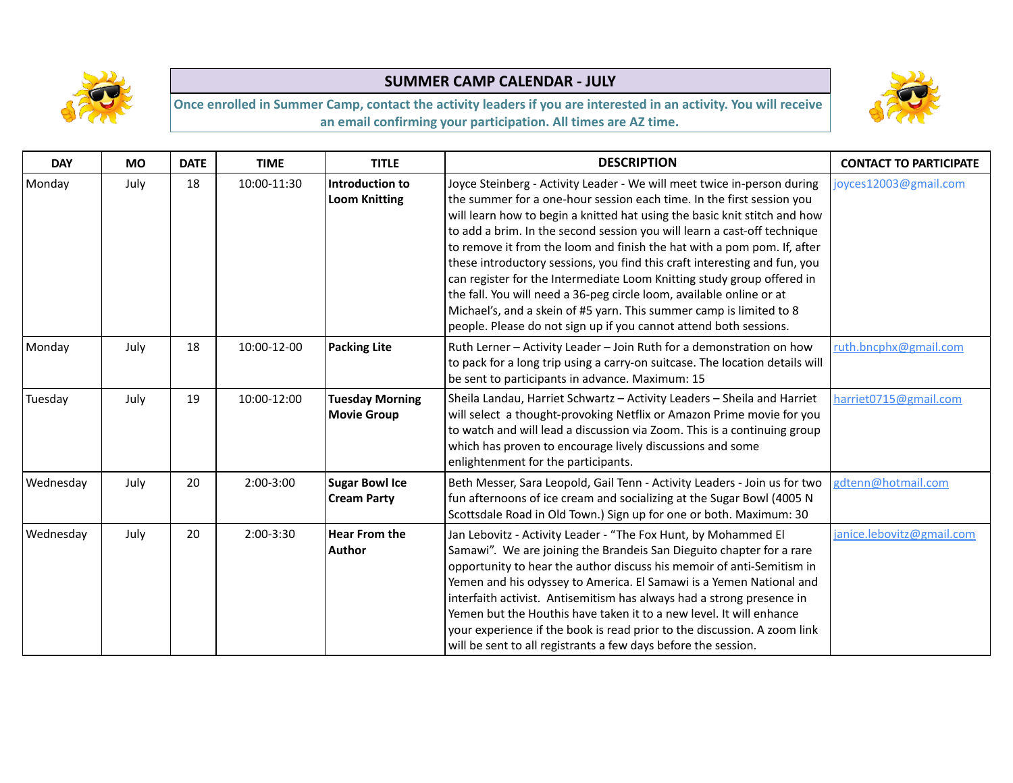



| <b>DAY</b> | <b>MO</b> | <b>DATE</b> | <b>TIME</b> | <b>TITLE</b>                                 | <b>DESCRIPTION</b>                                                                                                                                                                                                                                                                                                                                                                                                                                                                                                                                                                                                                                                                                                                                              | <b>CONTACT TO PARTICIPATE</b> |
|------------|-----------|-------------|-------------|----------------------------------------------|-----------------------------------------------------------------------------------------------------------------------------------------------------------------------------------------------------------------------------------------------------------------------------------------------------------------------------------------------------------------------------------------------------------------------------------------------------------------------------------------------------------------------------------------------------------------------------------------------------------------------------------------------------------------------------------------------------------------------------------------------------------------|-------------------------------|
| Monday     | July      | 18          | 10:00-11:30 | Introduction to<br><b>Loom Knitting</b>      | Joyce Steinberg - Activity Leader - We will meet twice in-person during<br>the summer for a one-hour session each time. In the first session you<br>will learn how to begin a knitted hat using the basic knit stitch and how<br>to add a brim. In the second session you will learn a cast-off technique<br>to remove it from the loom and finish the hat with a pom pom. If, after<br>these introductory sessions, you find this craft interesting and fun, you<br>can register for the Intermediate Loom Knitting study group offered in<br>the fall. You will need a 36-peg circle loom, available online or at<br>Michael's, and a skein of #5 yarn. This summer camp is limited to 8<br>people. Please do not sign up if you cannot attend both sessions. | joyces12003@gmail.com         |
| Monday     | July      | 18          | 10:00-12-00 | <b>Packing Lite</b>                          | Ruth Lerner - Activity Leader - Join Ruth for a demonstration on how<br>to pack for a long trip using a carry-on suitcase. The location details will<br>be sent to participants in advance. Maximum: 15                                                                                                                                                                                                                                                                                                                                                                                                                                                                                                                                                         | ruth.bncphx@gmail.com         |
| Tuesday    | July      | 19          | 10:00-12:00 | <b>Tuesday Morning</b><br><b>Movie Group</b> | Sheila Landau, Harriet Schwartz - Activity Leaders - Sheila and Harriet<br>will select a thought-provoking Netflix or Amazon Prime movie for you<br>to watch and will lead a discussion via Zoom. This is a continuing group<br>which has proven to encourage lively discussions and some<br>enlightenment for the participants.                                                                                                                                                                                                                                                                                                                                                                                                                                | harriet0715@gmail.com         |
| Wednesday  | July      | 20          | 2:00-3:00   | <b>Sugar Bowl Ice</b><br><b>Cream Party</b>  | Beth Messer, Sara Leopold, Gail Tenn - Activity Leaders - Join us for two<br>fun afternoons of ice cream and socializing at the Sugar Bowl (4005 N<br>Scottsdale Road in Old Town.) Sign up for one or both. Maximum: 30                                                                                                                                                                                                                                                                                                                                                                                                                                                                                                                                        | gdtenn@hotmail.com            |
| Wednesday  | July      | 20          | $2:00-3:30$ | <b>Hear From the</b><br><b>Author</b>        | Jan Lebovitz - Activity Leader - "The Fox Hunt, by Mohammed El<br>Samawi". We are joining the Brandeis San Dieguito chapter for a rare<br>opportunity to hear the author discuss his memoir of anti-Semitism in<br>Yemen and his odyssey to America. El Samawi is a Yemen National and<br>interfaith activist. Antisemitism has always had a strong presence in<br>Yemen but the Houthis have taken it to a new level. It will enhance<br>your experience if the book is read prior to the discussion. A zoom link<br>will be sent to all registrants a few days before the session.                                                                                                                                                                            | janice.lebovitz@gmail.com     |